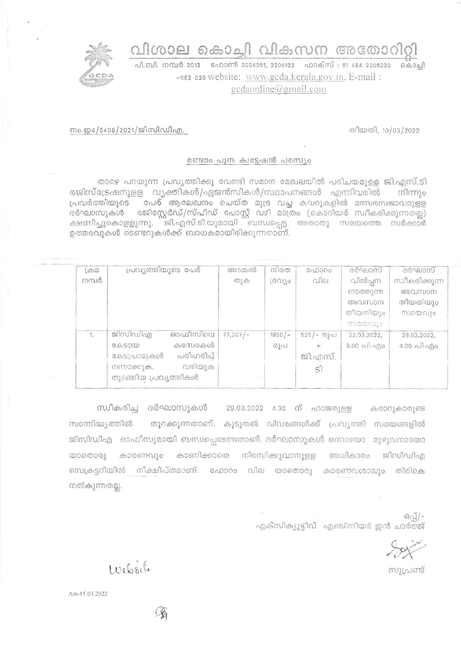വിശാല കൊച്ചി വികസന അതോറിറ്റി



പി.ബി. നമ്പർ 2012 - ഫോൺ 2204261, 2206122 - ഫാക്സ് : 91 484 2206230 - കൊച്ചി -682 020 website: www.gcda.kerala.gov.in. E-mail:  $gcdaonline(\omega gmail.com)$ 

തീയതി, 10/03/2022

## നം.ഇ4/6408/2021/ജിസിഡിഎ.

## രണ്ടാം പുന: ക്വട്ടേഷൻ പരസ്യം

താഴെ പറയുന്ന പ്രവ്യത്തിക്കു വേണ്ടി സമാന മേഖലയിൽ പരിചയമുള്ള ജി.എസ്.ടി രജിസ്ട്രേഷനുള്ള വ്യക്തികൾ/ഏജൻസികൾ/സ്ഥാപനങ്ങൾ എന്നിവരിൽ നിന്നും പ്രവർത്തിയുടെ പേര് ആലേഖനം ചെയ്ത മുദ്ര വച്ച കവറുകളിൽ മത്സരസ്വഭാവമുളള .<br>ദർഘാസുകൾ രജിസ്റ്റേർഡ്/സ്പീഡ് പോസ്റ്റ് വഴി മാത്രം (കൊറിയർ സ്വീകരിക്കുന്നതല്ല) ക്ഷണിച്ചുകൊളളുന്നു. ജി.എസ്.ടി.യുമായി ബന്ധപ്പെട്ട അതാതു സമയത്തെ സർക്കാർ ഉത്തരവുകൾ ടെണ്ടറുകൾക്ക് ബാധകമായിരിക്കുന്നതാണ്.

| $(\bigoplus \Omega)$ | പ്രവ്യത്തിയുടെ പേര്      | അടങ്കൽ  | നിരത     | <b>Gol000</b> | ദർഘാസ്      | ദർഘാസ്                   |
|----------------------|--------------------------|---------|----------|---------------|-------------|--------------------------|
| നമ്പർ                |                          | തുക     | GUT/O    | വില           | വിൽപ്പന     | സ്വീകരിക്കുന്ന           |
|                      |                          |         |          |               | നടത്തുന്ന   | അവസാന                    |
|                      |                          |         |          |               | അവസാന       | തീയതിയും                 |
|                      |                          |         |          |               | തീയതിയും    | സമയവും                   |
|                      |                          |         |          |               | സമയവും      |                          |
| 1.                   | ഓഫീസിലെ<br>ജിസിഡിഎ       | 77,207/ | $1950/-$ | $525/–$ @) വ  | 22.03.2022. | 29.03.2022.              |
|                      | കസേരകൾ<br>Gd55000        |         | രുപ      | $+$           | 3.00 പി.എം  | $4.00 \text{ Al.}$ $q$ o |
|                      | പരിഹരിച്ച്<br>കേടുപാടുകൾ |         |          | ജി.എസ്.       |             |                          |
|                      | വരിയുക<br>നന്നാക്കുക,    |         |          | $\mathsf{S}$  |             |                          |
|                      | തുടങ്ങിയ പ്രവൃത്തികൾ     |         |          |               |             |                          |
|                      |                          |         |          |               |             |                          |

സ്വീകരിച്ച ദർഘാസുകൾ 29.03.2022 4.30 ന് ഹാജരുളള കരാറുകാരുടെ സാന്നിദ്ധ്യത്തിൽ തുറക്കുന്നതാണ്. കൂടുതൽ വിവരങ്ങൾക്ക് പ്രവ്യത്തി സമയങ്ങളിൽ ജിസിഡിഎ ഓഫീസുമായി ബന്ധപ്പെടേണ്ടതാണ്. ദർഘാസുകൾ ഒന്നായോ മുഴുവനായോ കാരണവും കാണിക്കാതെ നിരസിക്കുവാനുള്ള  $\omega$ ാതൊരു അധികാരം ജിസിഡിഎ സെക്രട്ടറിയിൽ നിക്ഷിപ്തമാണ്. ഫോറം വില യാതൊരു കാരണവശാലും തിരികെ നൽകുന്നതല്ല.

ഒപ്പ്/-എക്സിക്യൂട്ടീവ് എഞ്ചിനീയർ ഇൻ ചാർജ്ജ്

സൂപ്രണ്ട്

Website

Am-15.03.2022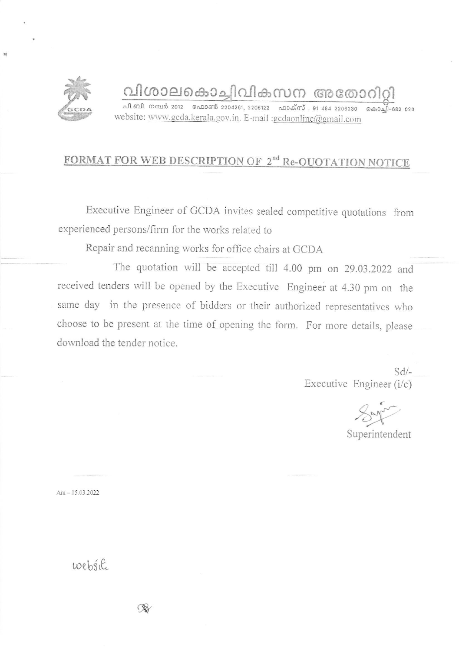

## വിശാലകൊച്ചിവികസന അതോറിറി

പി.ബി. നമ്പർ 2012 - ഫോൺ 2204261, 2206122 - ഫാക്സ് : 91-484 2206230 - കൊച്ചി-682 020 website: www.gcda.kerala.gov.in. E-mail :gcdaonline@gmail.com

## FORMAT FOR WEB DESCRIPTION OF 2<sup>nd</sup> Re-OUOTATION NOTICE

Executive Engineer of GCDA invites sealed competitive quotations from experienced persons/firm for the works related to

Repair and recanning works for office chairs at GCDA

The quotation will be accepted till 4.00 pm on 29.03.2022 and received tenders will be opened by the Executive Engineer at 4.30 pm on the same day in the presence of bidders or their authorized representatives who choose to be present at the time of opening the form. For more details, please download the tender notice.

> $Sd$ Executive Engineer (i/c)

Superintendent

Am  $-15.03.2022$ 

website